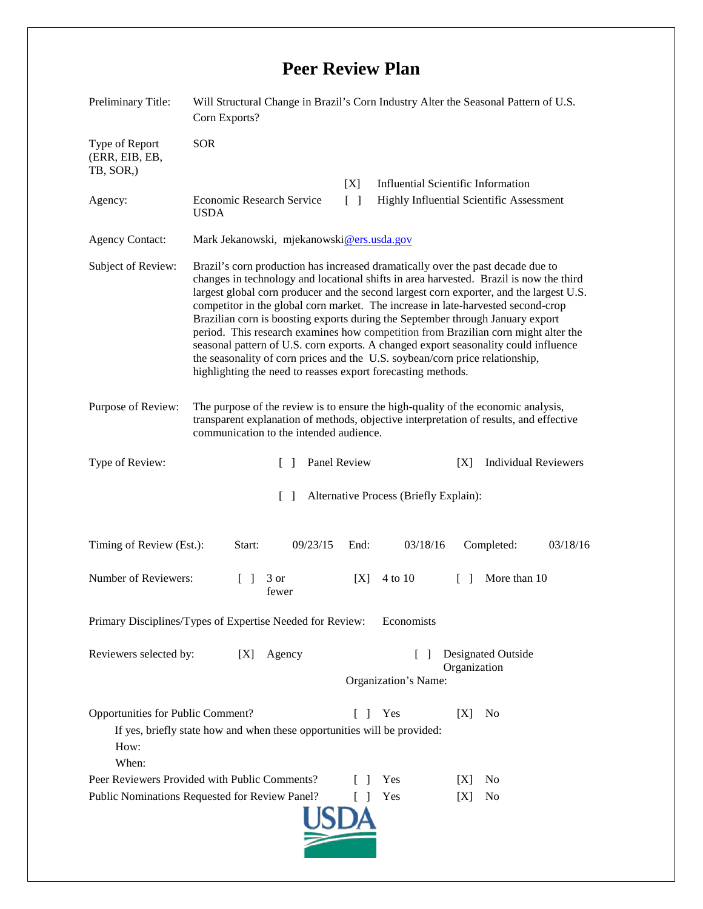## **Peer Review Plan**

| Preliminary Title:                                                                                                                                                                  | Will Structural Change in Brazil's Corn Industry Alter the Seasonal Pattern of U.S.<br>Corn Exports?                                                                                                                                                                                                                                                                                                                                                                                                                                                                                                                                                                                                                                                                    |              |                                                                   |              |                             |          |
|-------------------------------------------------------------------------------------------------------------------------------------------------------------------------------------|-------------------------------------------------------------------------------------------------------------------------------------------------------------------------------------------------------------------------------------------------------------------------------------------------------------------------------------------------------------------------------------------------------------------------------------------------------------------------------------------------------------------------------------------------------------------------------------------------------------------------------------------------------------------------------------------------------------------------------------------------------------------------|--------------|-------------------------------------------------------------------|--------------|-----------------------------|----------|
| Type of Report<br>(ERR, EIB, EB,<br>TB, SOR,)                                                                                                                                       | <b>SOR</b>                                                                                                                                                                                                                                                                                                                                                                                                                                                                                                                                                                                                                                                                                                                                                              |              |                                                                   |              |                             |          |
|                                                                                                                                                                                     |                                                                                                                                                                                                                                                                                                                                                                                                                                                                                                                                                                                                                                                                                                                                                                         | [X]          | <b>Influential Scientific Information</b>                         |              |                             |          |
| Agency:                                                                                                                                                                             | $\lceil \; \rceil$<br><b>Economic Research Service</b><br>Highly Influential Scientific Assessment<br><b>USDA</b>                                                                                                                                                                                                                                                                                                                                                                                                                                                                                                                                                                                                                                                       |              |                                                                   |              |                             |          |
| <b>Agency Contact:</b>                                                                                                                                                              | Mark Jekanowski, mjekanowski@ers.usda.gov                                                                                                                                                                                                                                                                                                                                                                                                                                                                                                                                                                                                                                                                                                                               |              |                                                                   |              |                             |          |
| Subject of Review:                                                                                                                                                                  | Brazil's corn production has increased dramatically over the past decade due to<br>changes in technology and locational shifts in area harvested. Brazil is now the third<br>largest global corn producer and the second largest corn exporter, and the largest U.S.<br>competitor in the global corn market. The increase in late-harvested second-crop<br>Brazilian corn is boosting exports during the September through January export<br>period. This research examines how competition from Brazilian corn might alter the<br>seasonal pattern of U.S. corn exports. A changed export seasonality could influence<br>the seasonality of corn prices and the U.S. soybean/corn price relationship,<br>highlighting the need to reasses export forecasting methods. |              |                                                                   |              |                             |          |
| Purpose of Review:                                                                                                                                                                  | The purpose of the review is to ensure the high-quality of the economic analysis,<br>transparent explanation of methods, objective interpretation of results, and effective<br>communication to the intended audience.                                                                                                                                                                                                                                                                                                                                                                                                                                                                                                                                                  |              |                                                                   |              |                             |          |
| Type of Review:                                                                                                                                                                     | $\lceil \; \rceil$                                                                                                                                                                                                                                                                                                                                                                                                                                                                                                                                                                                                                                                                                                                                                      | Panel Review |                                                                   | [X]          | <b>Individual Reviewers</b> |          |
| Alternative Process (Briefly Explain):<br>$\Box$                                                                                                                                    |                                                                                                                                                                                                                                                                                                                                                                                                                                                                                                                                                                                                                                                                                                                                                                         |              |                                                                   |              |                             |          |
| Timing of Review (Est.):                                                                                                                                                            | Start:<br>09/23/15                                                                                                                                                                                                                                                                                                                                                                                                                                                                                                                                                                                                                                                                                                                                                      | End:         | 03/18/16                                                          |              | Completed:                  | 03/18/16 |
| Number of Reviewers:                                                                                                                                                                | 3 or<br>fewer                                                                                                                                                                                                                                                                                                                                                                                                                                                                                                                                                                                                                                                                                                                                                           | [X]          | 4 to 10                                                           | $\mathbf{I}$ | More than 10                |          |
| Primary Disciplines/Types of Expertise Needed for Review: Economists                                                                                                                |                                                                                                                                                                                                                                                                                                                                                                                                                                                                                                                                                                                                                                                                                                                                                                         |              |                                                                   |              |                             |          |
| Reviewers selected by:<br>Agency<br>[X]                                                                                                                                             |                                                                                                                                                                                                                                                                                                                                                                                                                                                                                                                                                                                                                                                                                                                                                                         |              | <b>Designated Outside</b><br>Organization<br>Organization's Name: |              |                             |          |
| Opportunities for Public Comment?<br>Yes<br>[X]<br>N <sub>0</sub><br><b>TELEVISION</b><br>If yes, briefly state how and when these opportunities will be provided:<br>How:<br>When: |                                                                                                                                                                                                                                                                                                                                                                                                                                                                                                                                                                                                                                                                                                                                                                         |              |                                                                   |              |                             |          |
|                                                                                                                                                                                     | Peer Reviewers Provided with Public Comments?                                                                                                                                                                                                                                                                                                                                                                                                                                                                                                                                                                                                                                                                                                                           |              | Yes                                                               | X            | N <sub>0</sub>              |          |
| Public Nominations Requested for Review Panel?<br>Yes<br>N <sub>0</sub><br>[X]                                                                                                      |                                                                                                                                                                                                                                                                                                                                                                                                                                                                                                                                                                                                                                                                                                                                                                         |              |                                                                   |              |                             |          |